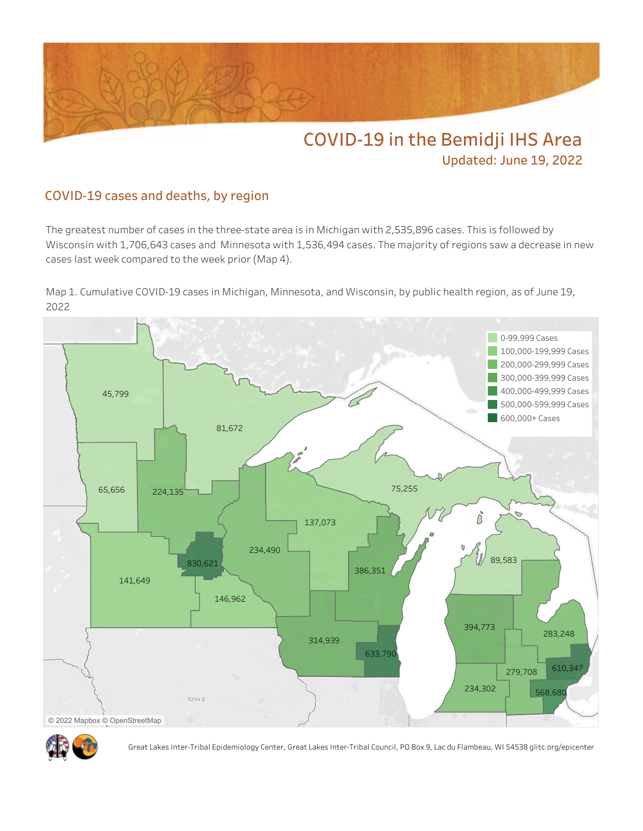

**Updated: June 19, 2022**

## **COVID-19 cases and deaths, by region**

The greatest number of cases in the three-state area is in Michigan with 2,535,896 cases. This is followed by Wisconsin with 1,706,643 cases and Minnesota with 1,536,494 cases. The majority of regions saw a decrease in new cases last week compared to the week prior (Map 4).

Map 1. Cumulative COVID-19 cases in Michigan, Minnesota, and Wisconsin, by public health region, as of June 19, 2022





Great Lakes Inter-Tribal Epidemiology Center, Great Lakes Inter-Tribal Council, PO Box 9, Lac du Flambeau, WI 54538 glitc.org/epicenter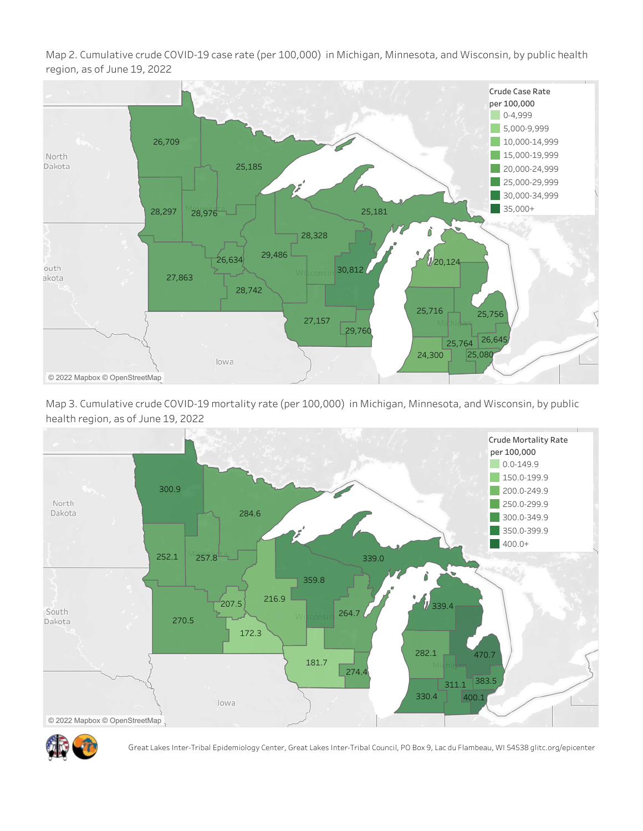Map 2. Cumulative crude COVID-19 case rate (per 100,000) in Michigan, Minnesota, and Wisconsin, by public health region, as of June 19, 2022









Great Lakes Inter-Tribal Epidemiology Center, Great Lakes Inter-Tribal Council, PO Box 9, Lac du Flambeau, WI 54538 glitc.org/epicenter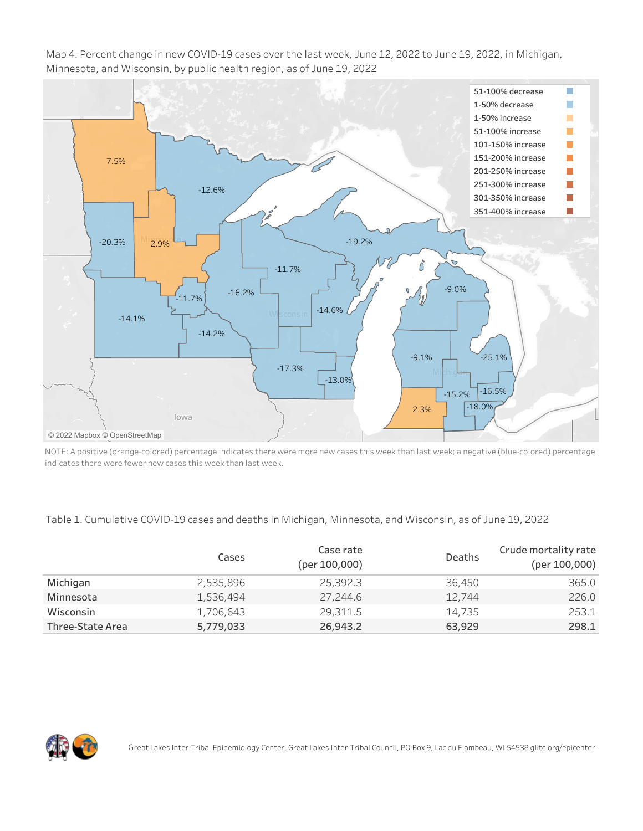Map 4. Percent change in new COVID-19 cases over the last week, June 12, 2022 to June 19, 2022, in Michigan, Minnesota, and Wisconsin, by public health region, as of June 19, 2022



NOTE: A positive (orange-colored) percentage indicates there were more new cases this week than last week; a negative (blue-colored) percentage indicates there were fewer new cases this week than last week.

## Table 1. Cumulative COVID-19 cases and deaths in Michigan, Minnesota, and Wisconsin, as of June 19, 2022

|                  | Cases     | Case rate<br>(per 100,000) | Deaths | Crude mortality rate<br>(per 100,000) |
|------------------|-----------|----------------------------|--------|---------------------------------------|
| Michigan         | 2,535,896 | 25,392.3                   | 36,450 | 365.0                                 |
| Minnesota        | 1,536,494 | 27,244.6                   | 12.744 | 226.0                                 |
| Wisconsin        | 1,706,643 | 29,311.5                   | 14,735 | 253.1                                 |
| Three-State Area | 5,779,033 | 26,943.2                   | 63,929 | 298.1                                 |

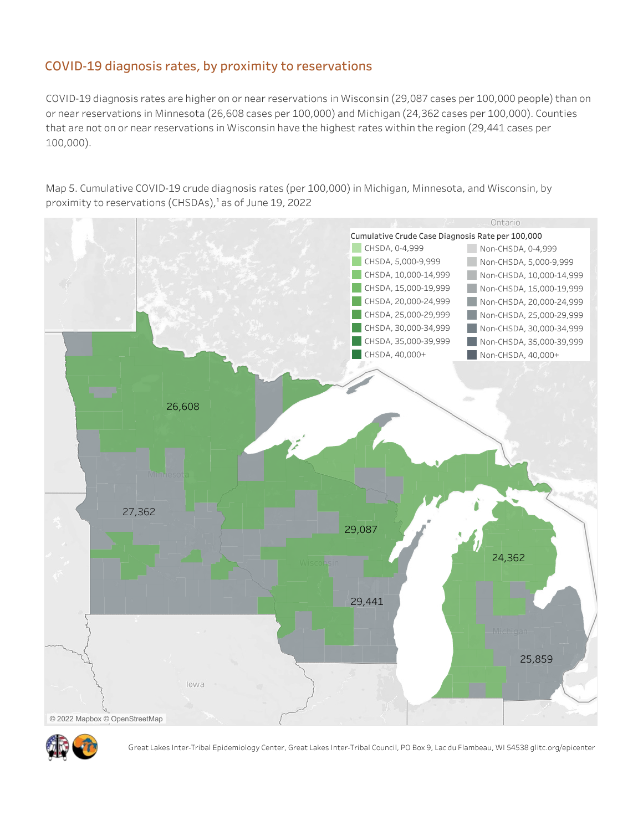## **COVID-19 diagnosis rates, by proximity to reservations**

COVID-19 diagnosis rates are higher on or near reservations in Wisconsin (29,087 cases per 100,000 people) than on or near reservations in Minnesota (26,608 cases per 100,000) and Michigan (24,362 cases per 100,000). Counties that are not on or near reservations in Wisconsin have the highest rates within the region (29,441 cases per 100,000).

Map 5. Cumulative COVID-19 crude diagnosis rates (per 100,000) in Michigan, Minnesota, and Wisconsin, by proximity to reservations (CHSDAs),<sup>1</sup> as of June 19, 2022





Great Lakes Inter-Tribal Epidemiology Center, Great Lakes Inter-Tribal Council, PO Box 9, Lac du Flambeau, WI 54538 glitc.org/epicenter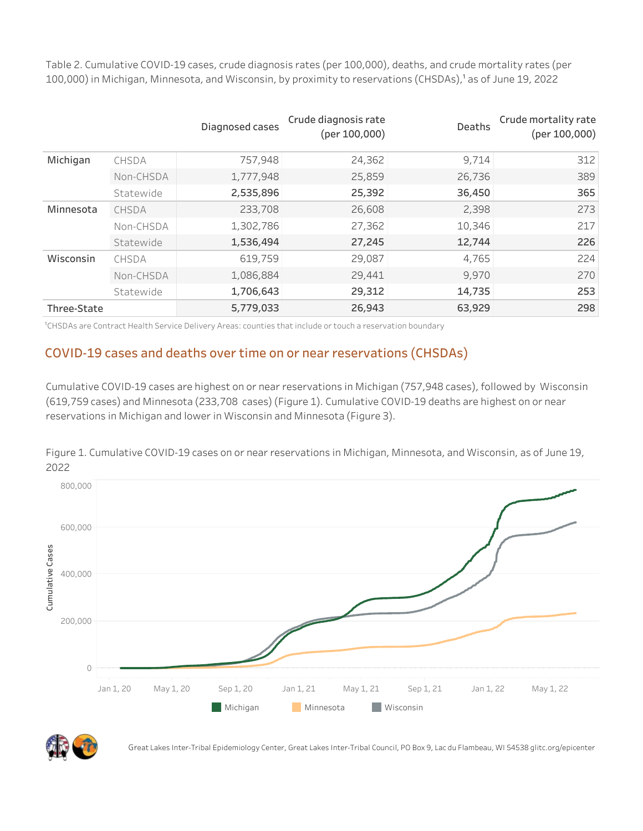Table 2. Cumulative COVID-19 cases, crude diagnosis rates (per 100,000), deaths, and crude mortality rates (per 100,000) in Michigan, Minnesota, and Wisconsin, by proximity to reservations (CHSDAs),<sup>1</sup> as of June 19, 2022

|             |           | Diagnosed cases | Crude diagnosis rate<br>(per 100,000) | Deaths | Crude mortality rate<br>(per 100,000) |
|-------------|-----------|-----------------|---------------------------------------|--------|---------------------------------------|
| Michigan    | CHSDA     | 757,948         | 24,362                                | 9.714  | 312                                   |
|             | Non-CHSDA | 1,777,948       | 25,859                                | 26,736 | 389                                   |
|             | Statewide | 2,535,896       | 25,392                                | 36,450 | 365                                   |
| Minnesota   | CHSDA     | 233,708         | 26,608                                | 2,398  | 273                                   |
|             | Non-CHSDA | 1,302,786       | 27,362                                | 10,346 | 217                                   |
|             | Statewide | 1,536,494       | 27,245                                | 12,744 | 226                                   |
| Wisconsin   | CHSDA     | 619,759         | 29,087                                | 4,765  | 224                                   |
|             | Non-CHSDA | 1,086,884       | 29,441                                | 9,970  | 270                                   |
|             | Statewide | 1,706,643       | 29,312                                | 14,735 | 253                                   |
| Three-State |           | 5,779,033       | 26,943                                | 63,929 | 298                                   |

<sup>1</sup>CHSDAs are Contract Health Service Delivery Areas: counties that include or touch a reservation boundary

## **COVID-19 cases and deaths over time on or near reservations (CHSDAs)**

Cumulative COVID-19 cases are highest on or near reservations in Michigan (757,948 cases), followed by Wisconsin (619,759 cases) and Minnesota (233,708 cases) (Figure 1). Cumulative COVID-19 deaths are highest on or near reservations in Michigan and lower in Wisconsin and Minnesota (Figure 3).

Figure 1. Cumulative COVID-19 cases on or near reservations in Michigan, Minnesota, and Wisconsin, as of June 19, 2022





Great Lakes Inter-Tribal Epidemiology Center, Great Lakes Inter-Tribal Council, PO Box 9, Lac du Flambeau, WI 54538 glitc.org/epicenter